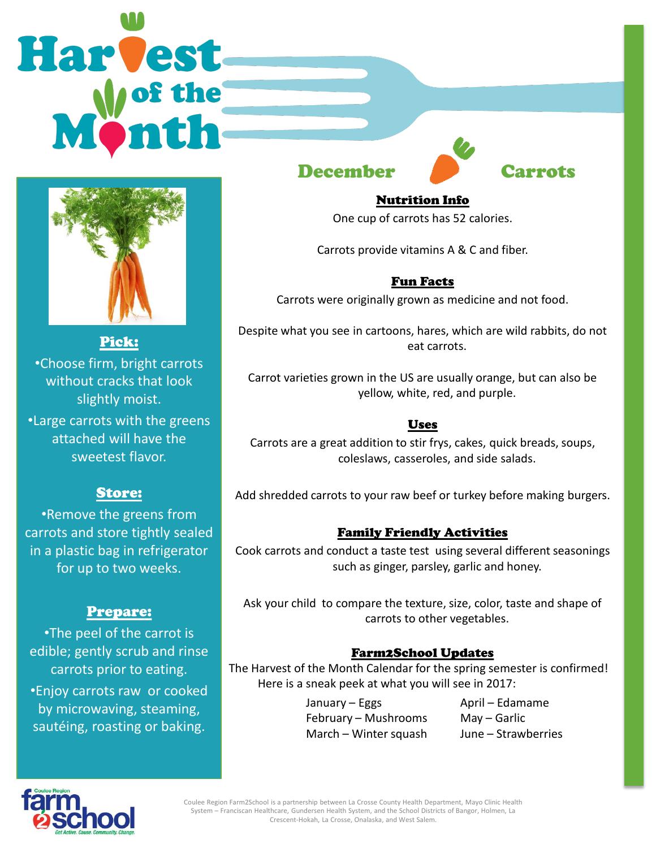# **Harvest**



Pick: •Choose firm, bright carrots without cracks that look slightly moist.

•Large carrots with the greens attached will have the sweetest flavor.

## Store:

•Remove the greens from carrots and store tightly sealed in a plastic bag in refrigerator for up to two weeks.

### Prepare:

•The peel of the carrot is edible; gently scrub and rinse carrots prior to eating.

•Enjoy carrots raw or cooked by microwaving, steaming, sautéing, roasting or baking.

December **Carrots** 



### Nutrition Info

One cup of carrots has 52 calories.

Carrots provide vitamins A & C and fiber.

## Fun Facts

Carrots were originally grown as medicine and not food.

Despite what you see in cartoons, hares, which are wild rabbits, do not eat carrots.

Carrot varieties grown in the US are usually orange, but can also be yellow, white, red, and purple.

### Uses

Carrots are a great addition to stir frys, cakes, quick breads, soups, coleslaws, casseroles, and side salads.

Add shredded carrots to your raw beef or turkey before making burgers.

### Family Friendly Activities

Cook carrots and conduct a taste test using several different seasonings such as ginger, parsley, garlic and honey.

Ask your child to compare the texture, size, color, taste and shape of carrots to other vegetables.

### Farm2School Updates

The Harvest of the Month Calendar for the spring semester is confirmed! Here is a sneak peek at what you will see in 2017:

> January – Eggs Bandary – April – Edamame February – Mushrooms May – Garlic March – Winter squash June – Strawberries



Coulee Region Farm2School is a partnership between La Crosse County Health Department, Mayo Clinic Health System – Franciscan Healthcare, Gundersen Health System, and the School Districts of Bangor, Holmen, La Crescent-Hokah, La Crosse, Onalaska, and West Salem.